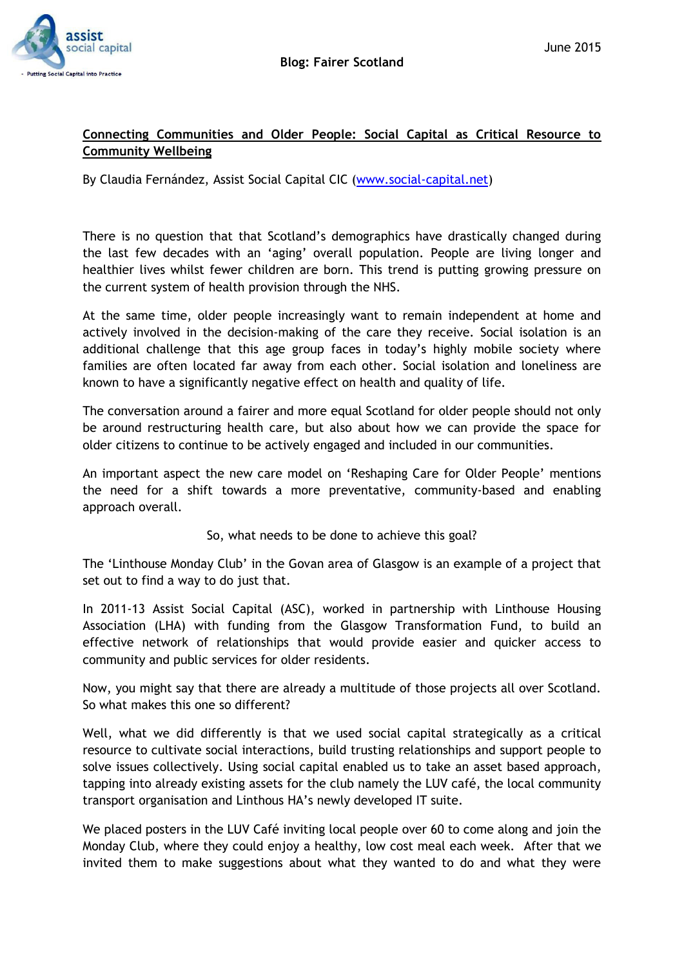

## **Connecting Communities and Older People: Social Capital as Critical Resource to Community Wellbeing**

By Claudia Fernández, Assist Social Capital CIC [\(www.social-capital.net\)](http://www.social-capital.net/)

There is no question that that Scotland's demographics have drastically changed during the last few decades with an 'aging' overall population. People are living longer and healthier lives whilst fewer children are born. This trend is putting growing pressure on the current system of health provision through the NHS.

At the same time, older people increasingly want to remain independent at home and actively involved in the decision-making of the care they receive. Social isolation is an additional challenge that this age group faces in today's highly mobile society where families are often located far away from each other. Social isolation and loneliness are known to have a significantly negative effect on health and quality of life.

The conversation around a fairer and more equal Scotland for older people should not only be around restructuring health care, but also about how we can provide the space for older citizens to continue to be actively engaged and included in our communities.

An important aspect the new care model on 'Reshaping Care for Older People' mentions the need for a shift towards a more preventative, community-based and enabling approach overall.

So, what needs to be done to achieve this goal?

The 'Linthouse Monday Club' in the Govan area of Glasgow is an example of a project that set out to find a way to do just that.

In 2011-13 Assist Social Capital (ASC), worked in partnership with Linthouse Housing Association (LHA) with funding from the Glasgow Transformation Fund, to build an effective network of relationships that would provide easier and quicker access to community and public services for older residents.

Now, you might say that there are already a multitude of those projects all over Scotland. So what makes this one so different?

Well, what we did differently is that we used social capital strategically as a critical resource to cultivate social interactions, build trusting relationships and support people to solve issues collectively. Using social capital enabled us to take an asset based approach, tapping into already existing assets for the club namely the LUV café, the local community transport organisation and Linthous HA's newly developed IT suite.

We placed posters in the LUV Café inviting local people over 60 to come along and join the Monday Club, where they could enjoy a healthy, low cost meal each week. After that we invited them to make suggestions about what they wanted to do and what they were